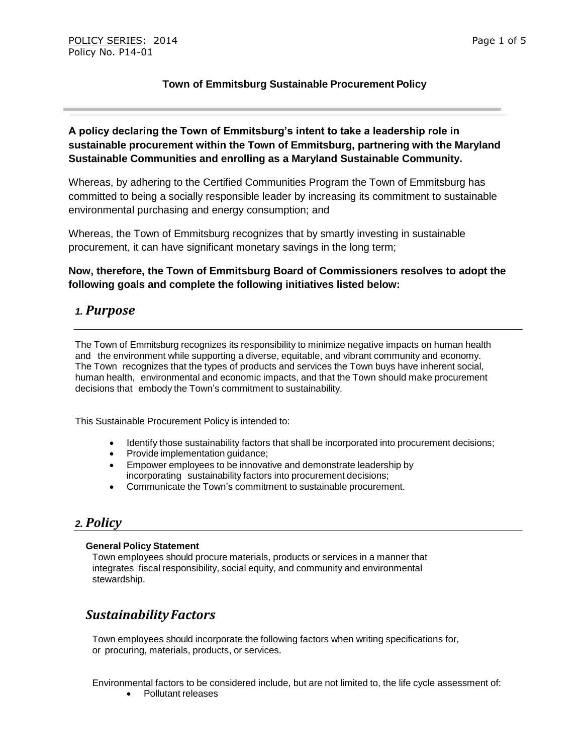#### **Town of Emmitsburg Sustainable Procurement Policy**

#### **A policy declaring the Town of Emmitsburg's intent to take a leadership role in sustainable procurement within the Town of Emmitsburg, partnering with the Maryland Sustainable Communities and enrolling as a Maryland Sustainable Community.**

Whereas, by adhering to the Certified Communities Program the Town of Emmitsburg has committed to being a socially responsible leader by increasing its commitment to sustainable environmental purchasing and energy consumption; and

Whereas, the Town of Emmitsburg recognizes that by smartly investing in sustainable procurement, it can have significant monetary savings in the long term;

#### **Now, therefore, the Town of Emmitsburg Board of Commissioners resolves to adopt the following goals and complete the following initiatives listed below:**

#### *1. Purpose*

The Town of Emmitsburg recognizes its responsibility to minimize negative impacts on human health and the environment while supporting a diverse, equitable, and vibrant community and economy. The Town recognizes that the types of products and services the Town buys have inherent social, human health, environmental and economic impacts, and that the Town should make procurement decisions that embody the Town's commitment to sustainability.

This Sustainable Procurement Policy is intended to:

- Identify those sustainability factors that shall be incorporated into procurement decisions;
- Provide implementation guidance;
- Empower employees to be innovative and demonstrate leadership by incorporating sustainability factors into procurement decisions;
- Communicate the Town's commitment to sustainable procurement.

## *2. Policy*

#### **General Policy Statement**

Town employees should procure materials, products or services in a manner that integrates fiscal responsibility, social equity, and community and environmental stewardship.

# *SustainabilityFactors*

Town employees should incorporate the following factors when writing specifications for, or procuring, materials, products, or services.

Environmental factors to be considered include, but are not limited to, the life cycle assessment of:

• Pollutant releases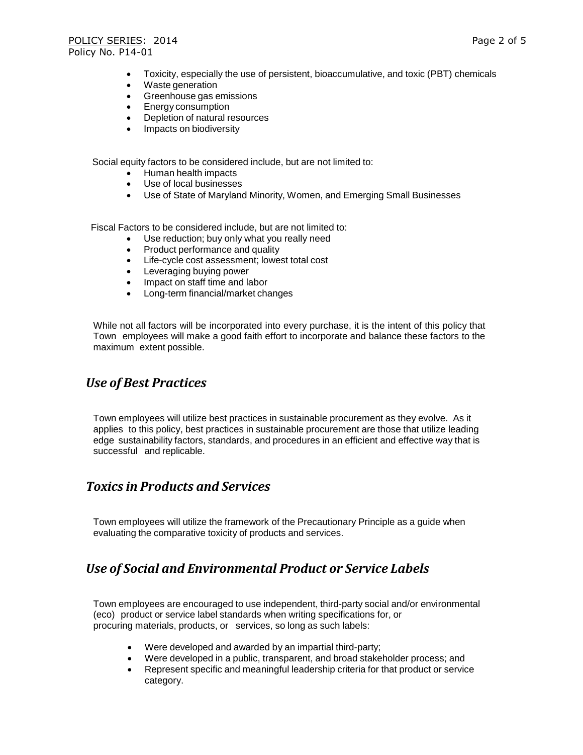- Toxicity, especially the use of persistent, bioaccumulative, and toxic (PBT) chemicals
- Waste generation
- Greenhouse gas emissions
- **Energy consumption**
- Depletion of natural resources
- Impacts on biodiversity

Social equity factors to be considered include, but are not limited to:

- Human health impacts
- Use of local businesses
- Use of State of Maryland Minority, Women, and Emerging Small Businesses

Fiscal Factors to be considered include, but are not limited to:

- Use reduction; buy only what you really need
- Product performance and quality
- Life-cycle cost assessment; lowest total cost
- Leveraging buying power
- Impact on staff time and labor
- Long-term financial/market changes

While not all factors will be incorporated into every purchase, it is the intent of this policy that Town employees will make a good faith effort to incorporate and balance these factors to the maximum extent possible.

## *Use of Best Practices*

Town employees will utilize best practices in sustainable procurement as they evolve. As it applies to this policy, best practices in sustainable procurement are those that utilize leading edge sustainability factors, standards, and procedures in an efficient and effective way that is successful and replicable.

## *Toxics in Products and Services*

Town employees will utilize the framework of the Precautionary Principle as a guide when evaluating the comparative toxicity of products and services.

## *Use of Social and Environmental Product or Service Labels*

Town employees are encouraged to use independent, third-party social and/or environmental (eco) product or service label standards when writing specifications for, or procuring materials, products, or services, so long as such labels:

- Were developed and awarded by an impartial third-party;
- Were developed in a public, transparent, and broad stakeholder process; and
- Represent specific and meaningful leadership criteria for that product or service category.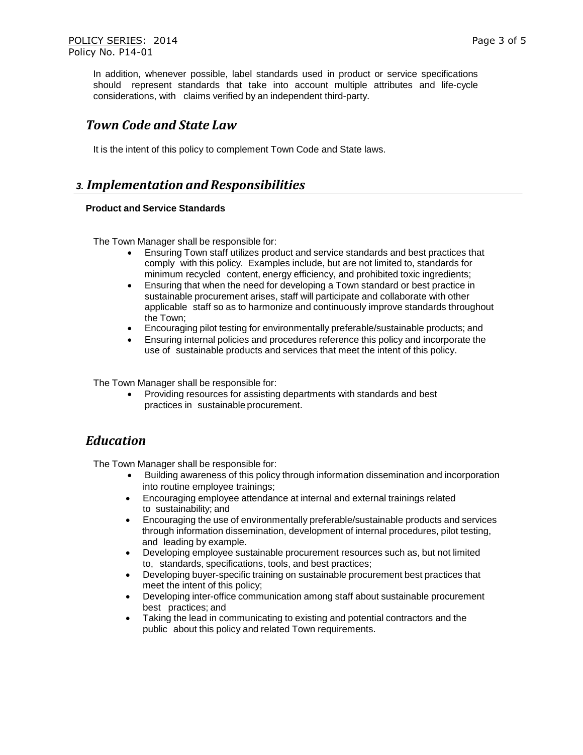In addition, whenever possible, label standards used in product or service specifications should represent standards that take into account multiple attributes and life-cycle considerations, with claims verified by an independent third-party.

## *Town Code and State Law*

It is the intent of this policy to complement Town Code and State laws.

#### *3. Implementation andResponsibilities*

#### **Product and Service Standards**

The Town Manager shall be responsible for:

- Ensuring Town staff utilizes product and service standards and best practices that comply with this policy. Examples include, but are not limited to, standards for minimum recycled content, energy efficiency, and prohibited toxic ingredients;
- Ensuring that when the need for developing a Town standard or best practice in sustainable procurement arises, staff will participate and collaborate with other applicable staff so as to harmonize and continuously improve standards throughout the Town;
- Encouraging pilot testing for environmentally preferable/sustainable products; and
- Ensuring internal policies and procedures reference this policy and incorporate the use of sustainable products and services that meet the intent of this policy.

The Town Manager shall be responsible for:

 Providing resources for assisting departments with standards and best practices in sustainable procurement.

# *Education*

The Town Manager shall be responsible for:

- Building awareness of this policy through information dissemination and incorporation into routine employee trainings;
- Encouraging employee attendance at internal and external trainings related to sustainability; and
- Encouraging the use of environmentally preferable/sustainable products and services through information dissemination, development of internal procedures, pilot testing, and leading by example.
- Developing employee sustainable procurement resources such as, but not limited to, standards, specifications, tools, and best practices;
- Developing buyer-specific training on sustainable procurement best practices that meet the intent of this policy;
- Developing inter-office communication among staff about sustainable procurement best practices; and
- Taking the lead in communicating to existing and potential contractors and the public about this policy and related Town requirements.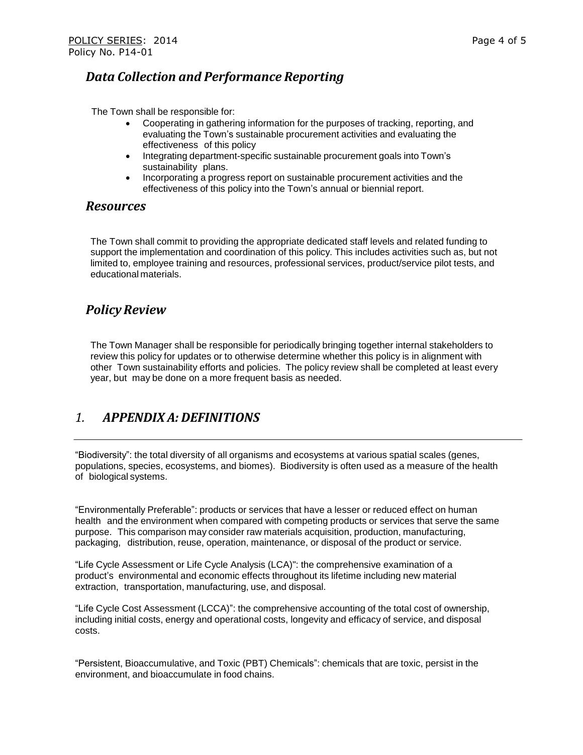#### *Data Collection and Performance Reporting*

The Town shall be responsible for:

- Cooperating in gathering information for the purposes of tracking, reporting, and evaluating the Town's sustainable procurement activities and evaluating the effectiveness of this policy
- Integrating department-specific sustainable procurement goals into Town's sustainability plans.
- Incorporating a progress report on sustainable procurement activities and the effectiveness of this policy into the Town's annual or biennial report.

#### *Resources*

The Town shall commit to providing the appropriate dedicated staff levels and related funding to support the implementation and coordination of this policy. This includes activities such as, but not limited to, employee training and resources, professional services, product/service pilot tests, and educational materials.

## *PolicyReview*

The Town Manager shall be responsible for periodically bringing together internal stakeholders to review this policy for updates or to otherwise determine whether this policy is in alignment with other Town sustainability efforts and policies. The policy review shall be completed at least every year, but may be done on a more frequent basis as needed.

## *1. APPENDIX A: DEFINITIONS*

"Biodiversity": the total diversity of all organisms and ecosystems at various spatial scales (genes, populations, species, ecosystems, and biomes). Biodiversity is often used as a measure of the health of biological systems.

"Environmentally Preferable": products or services that have a lesser or reduced effect on human health and the environment when compared with competing products or services that serve the same purpose. This comparison may consider raw materials acquisition, production, manufacturing, packaging, distribution, reuse, operation, maintenance, or disposal of the product or service.

"Life Cycle Assessment or Life Cycle Analysis (LCA)": the comprehensive examination of a product's environmental and economic effects throughout its lifetime including new material extraction, transportation, manufacturing, use, and disposal.

"Life Cycle Cost Assessment (LCCA)": the comprehensive accounting of the total cost of ownership, including initial costs, energy and operational costs, longevity and efficacy of service, and disposal costs.

"Persistent, Bioaccumulative, and Toxic (PBT) Chemicals": chemicals that are toxic, persist in the environment, and bioaccumulate in food chains.